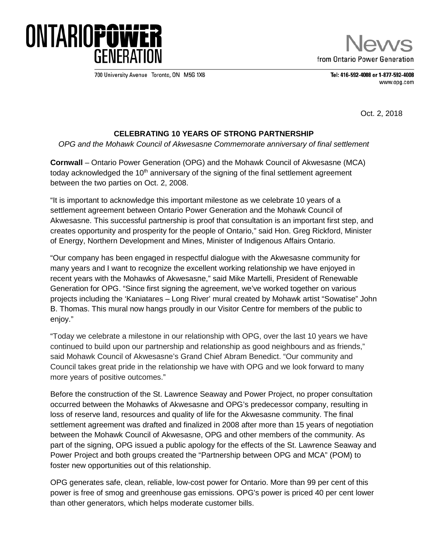

700 University Avenue Toronto, ON M5G 1X6

from Ontario Power Generation

Tel: 416-592-4008 or 1-877-592-4008 www.opg.com

Oct. 2, 2018

## **CELEBRATING 10 YEARS OF STRONG PARTNERSHIP**

*OPG and the Mohawk Council of Akwesasne Commemorate anniversary of final settlement* 

**Cornwall** – Ontario Power Generation (OPG) and the Mohawk Council of Akwesasne (MCA) today acknowledged the 10<sup>th</sup> anniversary of the signing of the final settlement agreement between the two parties on Oct. 2, 2008.

"It is important to acknowledge this important milestone as we celebrate 10 years of a settlement agreement between Ontario Power Generation and the Mohawk Council of Akwesasne. This successful partnership is proof that consultation is an important first step, and creates opportunity and prosperity for the people of Ontario," said Hon. Greg Rickford, Minister of Energy, Northern Development and Mines, Minister of Indigenous Affairs Ontario.

"Our company has been engaged in respectful dialogue with the Akwesasne community for many years and I want to recognize the excellent working relationship we have enjoyed in recent years with the Mohawks of Akwesasne," said Mike Martelli, President of Renewable Generation for OPG. "Since first signing the agreement, we've worked together on various projects including the 'Kaniatares – Long River' mural created by Mohawk artist "Sowatise" John B. Thomas. This mural now hangs proudly in our Visitor Centre for members of the public to enjoy."

"Today we celebrate a milestone in our relationship with OPG, over the last 10 years we have continued to build upon our partnership and relationship as good neighbours and as friends," said Mohawk Council of Akwesasne's Grand Chief Abram Benedict. "Our community and Council takes great pride in the relationship we have with OPG and we look forward to many more years of positive outcomes."

Before the construction of the St. Lawrence Seaway and Power Project, no proper consultation occurred between the Mohawks of Akwesasne and OPG's predecessor company, resulting in loss of reserve land, resources and quality of life for the Akwesasne community. The final settlement agreement was drafted and finalized in 2008 after more than 15 years of negotiation between the Mohawk Council of Akwesasne, OPG and other members of the community. As part of the signing, OPG issued a public apology for the effects of the St. Lawrence Seaway and Power Project and both groups created the "Partnership between OPG and MCA" (POM) to foster new opportunities out of this relationship.

OPG generates safe, clean, reliable, low-cost power for Ontario. More than 99 per cent of this power is free of smog and greenhouse gas emissions. OPG's power is priced 40 per cent lower than other generators, which helps moderate customer bills.